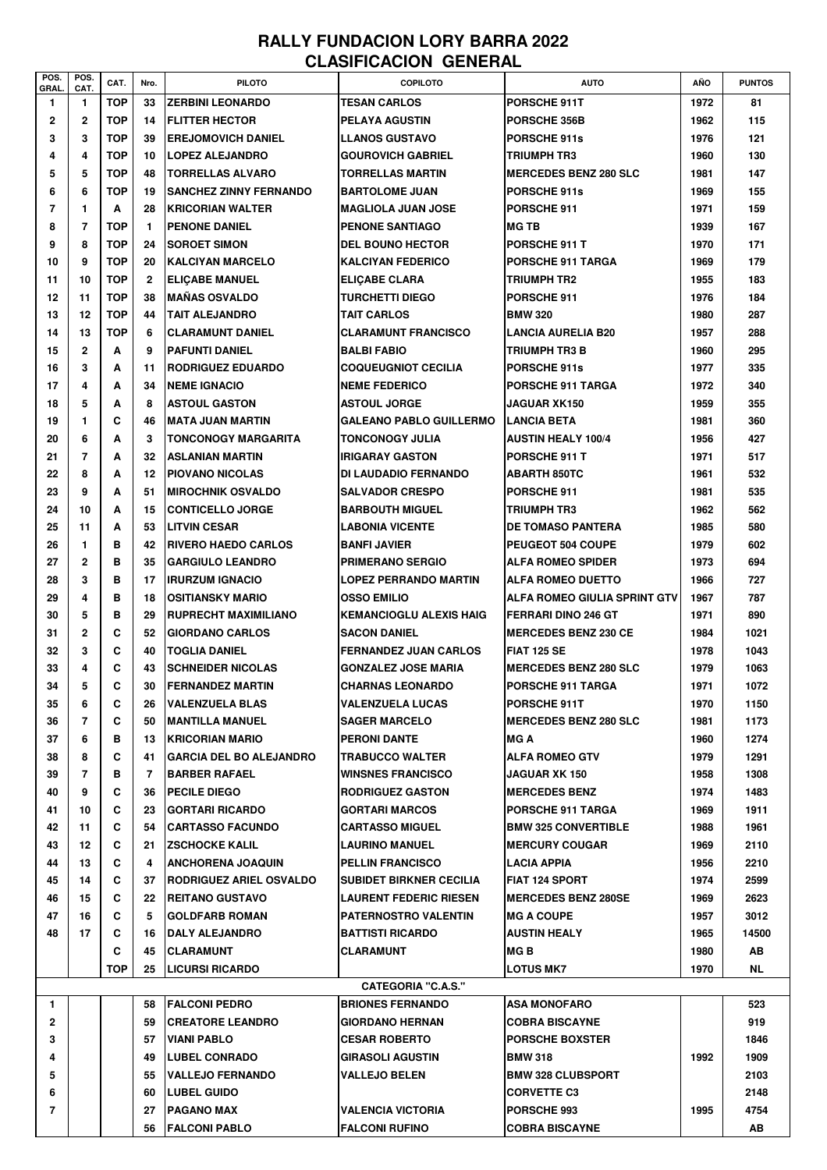## **RALLY FUNDACION LORY BARRA 2022 CLASIFICACION GENERAL**

| POS.<br>GRAL.             | POS.<br>CAT.   | CAT.       | Nro.         | <b>PILOTO</b>                  | <b>COPILOTO</b>                | <b>AUTO</b>                  | AÑO  | <b>PUNTOS</b> |
|---------------------------|----------------|------------|--------------|--------------------------------|--------------------------------|------------------------------|------|---------------|
| 1                         | 1              | TOP        | 33           | <b>ZERBINI LEONARDO</b>        | <b>TESAN CARLOS</b>            | PORSCHE 911T                 | 1972 | 81            |
| $\mathbf{2}$              | $\mathbf{2}$   | <b>TOP</b> | 14           | <b>FLITTER HECTOR</b>          | <b>PELAYA AGUSTIN</b>          | <b>PORSCHE 356B</b>          | 1962 | 115           |
| 3                         | 3              | <b>TOP</b> | 39           | <b>EREJOMOVICH DANIEL</b>      | <b>LLANOS GUSTAVO</b>          | <b>PORSCHE 911s</b>          | 1976 | 121           |
| 4                         | 4              | <b>TOP</b> | 10           | <b>LOPEZ ALEJANDRO</b>         | <b>GOUROVICH GABRIEL</b>       | TRIUMPH TR3                  | 1960 | 130           |
| 5                         | 5              | <b>TOP</b> | 48           | <b>TORRELLAS ALVARO</b>        | <b>TORRELLAS MARTIN</b>        | <b>MERCEDES BENZ 280 SLC</b> | 1981 | 147           |
| 6                         | 6              | <b>TOP</b> | 19           | <b>SANCHEZ ZINNY FERNANDO</b>  | <b>BARTOLOME JUAN</b>          | PORSCHE 911s                 | 1969 | 155           |
| $\overline{7}$            | 1              | A          | 28           | <b>KRICORIAN WALTER</b>        | <b>MAGLIOLA JUAN JOSE</b>      | <b>PORSCHE 911</b>           | 1971 | 159           |
| 8                         | 7              | <b>TOP</b> | 1.           | <b>PENONE DANIEL</b>           | <b>PENONE SANTIAGO</b>         | <b>MG TB</b>                 | 1939 | 167           |
| 9                         | 8              | <b>TOP</b> | 24           | <b>SOROET SIMON</b>            | <b>DEL BOUNO HECTOR</b>        | <b>PORSCHE 911 T</b>         | 1970 | 171           |
| 10                        | 9              | <b>TOP</b> | 20           | <b>KALCIYAN MARCELO</b>        | <b>KALCIYAN FEDERICO</b>       | PORSCHE 911 TARGA            | 1969 | 179           |
| 11                        | 10             | <b>TOP</b> | $\mathbf{2}$ | <b>ELICABE MANUEL</b>          | <b>ELICABE CLARA</b>           | TRIUMPH TR2                  | 1955 | 183           |
| 12                        | 11             | <b>TOP</b> | 38           | <b>MAÑAS OSVALDO</b>           | <b>TURCHETTI DIEGO</b>         | PORSCHE 911                  | 1976 | 184           |
| 13                        | 12             | <b>TOP</b> | 44           | <b>TAIT ALEJANDRO</b>          | <b>TAIT CARLOS</b>             | <b>BMW 320</b>               | 1980 | 287           |
| 14                        | 13             | <b>TOP</b> | 6            | <b>CLARAMUNT DANIEL</b>        | <b>CLARAMUNT FRANCISCO</b>     | <b>LANCIA AURELIA B20</b>    | 1957 | 288           |
| 15                        | $\mathbf{2}$   | A          | 9            | <b>PAFUNTI DANIEL</b>          | <b>BALBI FABIO</b>             | TRIUMPH TR3 B                | 1960 | 295           |
| 16                        | 3              | A          | 11           | RODRIGUEZ EDUARDO              | <b>COQUEUGNIOT CECILIA</b>     | <b>PORSCHE 911s</b>          | 1977 | 335           |
| 17                        | 4              | A          | 34           | <b>NEME IGNACIO</b>            | <b>NEME FEDERICO</b>           | <b>PORSCHE 911 TARGA</b>     | 1972 | 340           |
| 18                        | 5              | A          | 8            | <b>ASTOUL GASTON</b>           | <b>ASTOUL JORGE</b>            | JAGUAR XK150                 | 1959 | 355           |
| 19                        | 1              | C          | 46           | <b>MATA JUAN MARTIN</b>        | <b>GALEANO PABLO GUILLERMO</b> | <b>LANCIA BETA</b>           | 1981 | 360           |
| 20                        | 6              | A          | 3            | <b>TONCONOGY MARGARITA</b>     | <b>TONCONOGY JULIA</b>         | <b>AUSTIN HEALY 100/4</b>    | 1956 | 427           |
| 21                        | $\overline{7}$ | A          | 32           | ASLANIAN MARTIN                | <b>IRIGARAY GASTON</b>         | PORSCHE 911 T                | 1971 | 517           |
| 22                        | 8              | A          | 12           | <b>PIOVANO NICOLAS</b>         | <b>DI LAUDADIO FERNANDO</b>    | <b>ABARTH 850TC</b>          | 1961 | 532           |
| 23                        | 9              | A          | 51           | <b>MIROCHNIK OSVALDO</b>       | <b>SALVADOR CRESPO</b>         | PORSCHE 911                  | 1981 | 535           |
| 24                        | 10             | A          | 15           | <b>CONTICELLO JORGE</b>        | <b>BARBOUTH MIGUEL</b>         | TRIUMPH TR3                  | 1962 | 562           |
| 25                        | 11             | A          | 53           | <b>LITVIN CESAR</b>            | <b>LABONIA VICENTE</b>         | DE TOMASO PANTERA            | 1985 | 580           |
| 26                        | 1              | в          | 42           | <b>RIVERO HAEDO CARLOS</b>     | <b>BANFI JAVIER</b>            | PEUGEOT 504 COUPE            | 1979 | 602           |
| 27                        | $\mathbf{2}$   | в          | 35           | <b>GARGIULO LEANDRO</b>        | <b>PRIMERANO SERGIO</b>        | <b>ALFA ROMEO SPIDER</b>     | 1973 | 694           |
| 28                        | 3              | в          | 17           | <b>IRURZUM IGNACIO</b>         | <b>LOPEZ PERRANDO MARTIN</b>   | <b>ALFA ROMEO DUETTO</b>     | 1966 | 727           |
| 29                        | 4              | в          | 18           | <b>OSITIANSKY MARIO</b>        | <b>OSSO EMILIO</b>             | ALFA ROMEO GIULIA SPRINT GTV | 1967 | 787           |
| 30                        | 5              | в          | 29           | <b>RUPRECHT MAXIMILIANO</b>    | <b>KEMANCIOGLU ALEXIS HAIG</b> | <b>FERRARI DINO 246 GT</b>   | 1971 | 890           |
| 31                        | $\mathbf{2}$   | C          | 52           | <b>GIORDANO CARLOS</b>         | <b>SACON DANIEL</b>            | <b>MERCEDES BENZ 230 CE</b>  | 1984 | 1021          |
| 32                        | 3              | C          | 40           | <b>TOGLIA DANIEL</b>           | <b>FERNANDEZ JUAN CARLOS</b>   | <b>FIAT 125 SE</b>           | 1978 | 1043          |
| 33                        | 4              | C          | 43           | <b>SCHNEIDER NICOLAS</b>       | <b>GONZALEZ JOSE MARIA</b>     | <b>MERCEDES BENZ 280 SLC</b> | 1979 | 1063          |
| 34                        | 5              | C          | 30           | <b> FERNANDEZ MARTIN</b>       | <b>CHARNAS LEONARDO</b>        | <b>PORSCHE 911 TARGA</b>     | 1971 | 1072          |
| 35                        | 6              | C          | 26           | <b>VALENZUELA BLAS</b>         | <b>VALENZUELA LUCAS</b>        | PORSCHE 911T                 | 1970 | 1150          |
| 36                        | 7              | C          | 50           | <b>MANTILLA MANUEL</b>         | <b>SAGER MARCELO</b>           | <b>MERCEDES BENZ 280 SLC</b> | 1981 | 1173          |
| 37                        | 6              | в          | 13           | <b>KRICORIAN MARIO</b>         | <b>PERONI DANTE</b>            | <b>MG A</b>                  | 1960 | 1274          |
| 38                        | 8              | C          | 41           | <b>GARCIA DEL BO ALEJANDRO</b> | <b>TRABUCCO WALTER</b>         | <b>ALFA ROMEO GTV</b>        | 1979 | 1291          |
| 39                        | 7              | в          | 7            | <b>BARBER RAFAEL</b>           | <b>WINSNES FRANCISCO</b>       | JAGUAR XK 150                | 1958 | 1308          |
| 40                        | 9              | C          | 36           | <b>PECILE DIEGO</b>            | <b>RODRIGUEZ GASTON</b>        | <b>MERCEDES BENZ</b>         | 1974 | 1483          |
| 41                        | 10             | C          | 23           | <b>GORTARI RICARDO</b>         | <b>GORTARI MARCOS</b>          | PORSCHE 911 TARGA            | 1969 | 1911          |
| 42                        | 11             | C          | 54           | <b>CARTASSO FACUNDO</b>        | <b>CARTASSO MIGUEL</b>         | <b>BMW 325 CONVERTIBLE</b>   | 1988 | 1961          |
| 43                        | 12             | C          | 21           | <b>ZSCHOCKE KALIL</b>          | <b>LAURINO MANUEL</b>          | <b>MERCURY COUGAR</b>        | 1969 | 2110          |
| 44                        | 13             | C          | 4            | <b>ANCHORENA JOAQUIN</b>       | <b>PELLIN FRANCISCO</b>        | <b>LACIA APPIA</b>           | 1956 | 2210          |
| 45                        | 14             | C          | 37           | RODRIGUEZ ARIEL OSVALDO        | <b>SUBIDET BIRKNER CECILIA</b> | <b>FIAT 124 SPORT</b>        | 1974 | 2599          |
| 46                        | 15             | C          | 22           | <b>REITANO GUSTAVO</b>         | <b>LAURENT FEDERIC RIESEN</b>  | <b>MERCEDES BENZ 280SE</b>   | 1969 | 2623          |
| 47                        | 16             | C          | 5            | <b>GOLDFARB ROMAN</b>          | <b>PATERNOSTRO VALENTIN</b>    | IMG A COUPE                  | 1957 | 3012          |
| 48                        | 17             | C          | 16           | <b>DALY ALEJANDRO</b>          | <b>BATTISTI RICARDO</b>        | <b>AUSTIN HEALY</b>          | 1965 | 14500         |
|                           |                | C          | 45           | <b>CLARAMUNT</b>               | CLARAMUNT                      | MG B                         | 1980 | AB            |
|                           |                | <b>TOP</b> | 25           | <b>LICURSI RICARDO</b>         |                                | <b>LOTUS MK7</b>             | 1970 | NL            |
| <b>CATEGORIA "C.A.S."</b> |                |            |              |                                |                                |                              |      |               |
| 1                         |                |            | 58           | <b>FALCONI PEDRO</b>           | <b>BRIONES FERNANDO</b>        | ASA MONOFARO                 |      | 523           |
| $\mathbf{2}$              |                |            | 59           | <b>CREATORE LEANDRO</b>        | <b>GIORDANO HERNAN</b>         | <b>COBRA BISCAYNE</b>        |      | 919           |
| 3                         |                |            | 57           | <b>VIANI PABLO</b>             | <b>CESAR ROBERTO</b>           | <b>PORSCHE BOXSTER</b>       |      | 1846          |
| 4                         |                |            | 49           | <b>LUBEL CONRADO</b>           | <b>GIRASOLI AGUSTIN</b>        | <b>BMW 318</b>               | 1992 | 1909          |
| 5                         |                |            | 55           | <b>VALLEJO FERNANDO</b>        | <b>VALLEJO BELEN</b>           | <b>BMW 328 CLUBSPORT</b>     |      | 2103          |
| 6                         |                |            | 60           | <b>LUBEL GUIDO</b>             |                                | <b>CORVETTE C3</b>           |      | 2148          |
| 7                         |                |            | 27           | <b>PAGANO MAX</b>              | <b>VALENCIA VICTORIA</b>       | <b>PORSCHE 993</b>           | 1995 | 4754          |
|                           |                |            | 56           | <b>FALCONI PABLO</b>           | <b>FALCONI RUFINO</b>          | <b>COBRA BISCAYNE</b>        |      | AB            |
|                           |                |            |              |                                |                                |                              |      |               |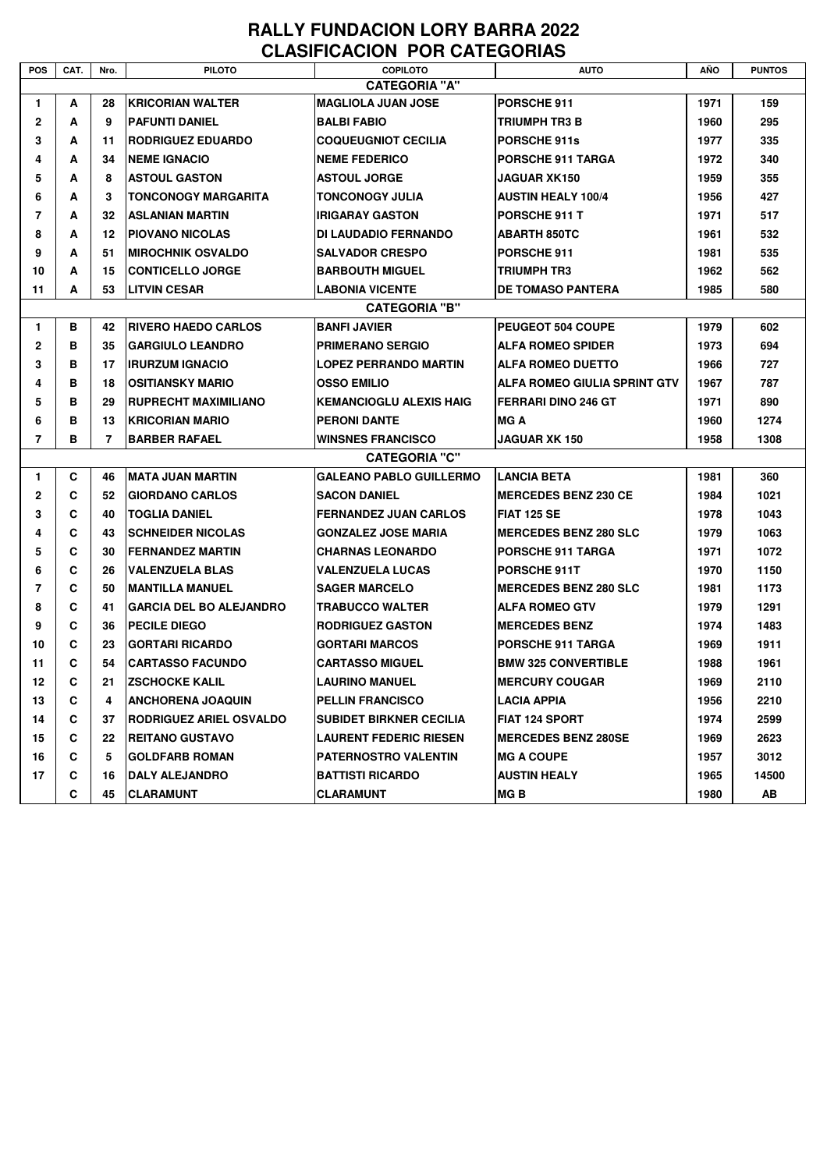## RALLY FUNDACION LORY BARRA 2022 **CLASIFICACION POR CATEGORIAS**

| <b>POS</b>     | CAT.                 | Nro. | <b>PILOTO</b>                  | <b>COPILOTO</b>                | <b>AUTO</b>                  | AÑO  | <b>PUNTOS</b> |  |  |  |
|----------------|----------------------|------|--------------------------------|--------------------------------|------------------------------|------|---------------|--|--|--|
|                | <b>CATEGORIA "A"</b> |      |                                |                                |                              |      |               |  |  |  |
| $\mathbf{1}$   | A                    | 28   | <b>IKRICORIAN WALTER</b>       | <b>MAGLIOLA JUAN JOSE</b>      | PORSCHE 911                  | 1971 | 159           |  |  |  |
| $\mathbf{2}$   | A                    | 9    | <b>PAFUNTI DANIEL</b>          | <b>BALBI FABIO</b>             | TRIUMPH TR3 B                | 1960 | 295           |  |  |  |
| 3              | A                    | 11   | <b>RODRIGUEZ EDUARDO</b>       | <b>COQUEUGNIOT CECILIA</b>     | <b>PORSCHE 911s</b>          | 1977 | 335           |  |  |  |
| 4              | A                    | 34   | <b>NEME IGNACIO</b>            | <b>NEME FEDERICO</b>           | <b>PORSCHE 911 TARGA</b>     | 1972 | 340           |  |  |  |
| 5              | A                    | 8    | <b>ASTOUL GASTON</b>           | <b>ASTOUL JORGE</b>            | JAGUAR XK150                 | 1959 | 355           |  |  |  |
| 6              | A                    | 3    | <b>TONCONOGY MARGARITA</b>     | <b>TONCONOGY JULIA</b>         | <b>AUSTIN HEALY 100/4</b>    | 1956 | 427           |  |  |  |
| 7              | A                    | 32   | ASLANIAN MARTIN                | <b>IRIGARAY GASTON</b>         | <b>PORSCHE 911 T</b>         | 1971 | 517           |  |  |  |
| 8              | A                    | 12   | IPIOVANO NICOLAS               | DI LAUDADIO FERNANDO           | <b>ABARTH 850TC</b>          | 1961 | 532           |  |  |  |
| 9              | A                    | 51   | <b>MIROCHNIK OSVALDO</b>       | <b>SALVADOR CRESPO</b>         | <b>PORSCHE 911</b>           | 1981 | 535           |  |  |  |
| 10             | A                    | 15   | <b>CONTICELLO JORGE</b>        | <b>BARBOUTH MIGUEL</b>         | TRIUMPH TR3                  | 1962 | 562           |  |  |  |
| 11             | A                    | 53   | <b>LITVIN CESAR</b>            | <b>LABONIA VICENTE</b>         | <b>DE TOMASO PANTERA</b>     | 1985 | 580           |  |  |  |
|                | <b>CATEGORIA "B"</b> |      |                                |                                |                              |      |               |  |  |  |
| $\mathbf{1}$   | в                    | 42   | <b>IRIVERO HAEDO CARLOS</b>    | <b>BANFI JAVIER</b>            | PEUGEOT 504 COUPE            | 1979 | 602           |  |  |  |
| $\mathbf{2}$   | в                    | 35   | <b>GARGIULO LEANDRO</b>        | <b>PRIMERANO SERGIO</b>        | <b>ALFA ROMEO SPIDER</b>     | 1973 | 694           |  |  |  |
| 3              | в                    | 17   | <b>IIRURZUM IGNACIO</b>        | <b>LOPEZ PERRANDO MARTIN</b>   | <b>ALFA ROMEO DUETTO</b>     | 1966 | 727           |  |  |  |
| 4              | в                    | 18   | IOSITIANSKY MARIO              | <b>OSSO EMILIO</b>             | ALFA ROMEO GIULIA SPRINT GTV | 1967 | 787           |  |  |  |
| 5              | в                    | 29   | <b>RUPRECHT MAXIMILIANO</b>    | <b>KEMANCIOGLU ALEXIS HAIG</b> | <b>FERRARI DINO 246 GT</b>   | 1971 | 890           |  |  |  |
| 6              | в                    | 13   | <b>KRICORIAN MARIO</b>         | <b>PERONI DANTE</b>            | <b>MGA</b>                   | 1960 | 1274          |  |  |  |
| $\overline{7}$ | в                    | 7    | <b>BARBER RAFAEL</b>           | <b>WINSNES FRANCISCO</b>       | <b>JAGUAR XK 150</b>         | 1958 | 1308          |  |  |  |
|                |                      |      |                                | <b>CATEGORIA "C"</b>           |                              |      |               |  |  |  |
| $\mathbf{1}$   | C                    | 46   | IMATA JUAN MARTIN              | <b>GALEANO PABLO GUILLERMO</b> | <b>LANCIA BETA</b>           | 1981 | 360           |  |  |  |
| $\mathbf{2}$   | C                    | 52   | <b>GIORDANO CARLOS</b>         | <b>SACON DANIEL</b>            | <b>MERCEDES BENZ 230 CE</b>  | 1984 | 1021          |  |  |  |
| 3              | C                    | 40   | <b>TOGLIA DANIEL</b>           | <b>FERNANDEZ JUAN CARLOS</b>   | <b>FIAT 125 SE</b>           | 1978 | 1043          |  |  |  |
| 4              | С                    | 43   | <b>ISCHNEIDER NICOLAS</b>      | <b>GONZALEZ JOSE MARIA</b>     | <b>MERCEDES BENZ 280 SLC</b> | 1979 | 1063          |  |  |  |
| 5              | C                    | 30   | IFERNANDEZ MARTIN              | <b>CHARNAS LEONARDO</b>        | <b>PORSCHE 911 TARGA</b>     | 1971 | 1072          |  |  |  |
| 6              | С                    | 26   | <b>VALENZUELA BLAS</b>         | <b>VALENZUELA LUCAS</b>        | PORSCHE 911T                 | 1970 | 1150          |  |  |  |
| 7              | C                    | 50   | <b>IMANTILLA MANUEL</b>        | <b>SAGER MARCELO</b>           | <b>MERCEDES BENZ 280 SLC</b> | 1981 | 1173          |  |  |  |
| 8              | С                    | 41   | <b>GARCIA DEL BO ALEJANDRO</b> | <b>TRABUCCO WALTER</b>         | <b>ALFA ROMEO GTV</b>        | 1979 | 1291          |  |  |  |
| 9              | C                    | 36   | <b>PECILE DIEGO</b>            | <b>RODRIGUEZ GASTON</b>        | <b>MERCEDES BENZ</b>         | 1974 | 1483          |  |  |  |
| 10             | C                    | 23   | IGORTARI RICARDO               | <b>GORTARI MARCOS</b>          | <b>PORSCHE 911 TARGA</b>     | 1969 | 1911          |  |  |  |
| 11             | C                    | 54   | <b>ICARTASSO FACUNDO</b>       | <b>CARTASSO MIGUEL</b>         | <b>BMW 325 CONVERTIBLE</b>   | 1988 | 1961          |  |  |  |
| 12             | C                    | 21   | <b>ZSCHOCKE KALIL</b>          | <b>LAURINO MANUEL</b>          | <b>MERCURY COUGAR</b>        | 1969 | 2110          |  |  |  |
| 13             | C                    | 4    | <b>ANCHORENA JOAQUIN</b>       | <b>PELLIN FRANCISCO</b>        | <b>LACIA APPIA</b>           | 1956 | 2210          |  |  |  |
| 14             | C                    | 37   | <b>RODRIGUEZ ARIEL OSVALDO</b> | <b>SUBIDET BIRKNER CECILIA</b> | FIAT 124 SPORT               | 1974 | 2599          |  |  |  |
| 15             | C                    | 22   | <b>IREITANO GUSTAVO</b>        | <b>LAURENT FEDERIC RIESEN</b>  | <b>MERCEDES BENZ 280SE</b>   | 1969 | 2623          |  |  |  |
| 16             | C                    | 5    | GOLDFARB ROMAN                 | <b>PATERNOSTRO VALENTIN</b>    | <b>IMG A COUPE</b>           | 1957 | 3012          |  |  |  |
| 17             | C                    | 16   | DALY ALEJANDRO                 | <b>BATTISTI RICARDO</b>        | <b>AUSTIN HEALY</b>          | 1965 | 14500         |  |  |  |
|                | C                    | 45   | CLARAMUNT                      | CLARAMUNT                      | MG B                         | 1980 | AB            |  |  |  |